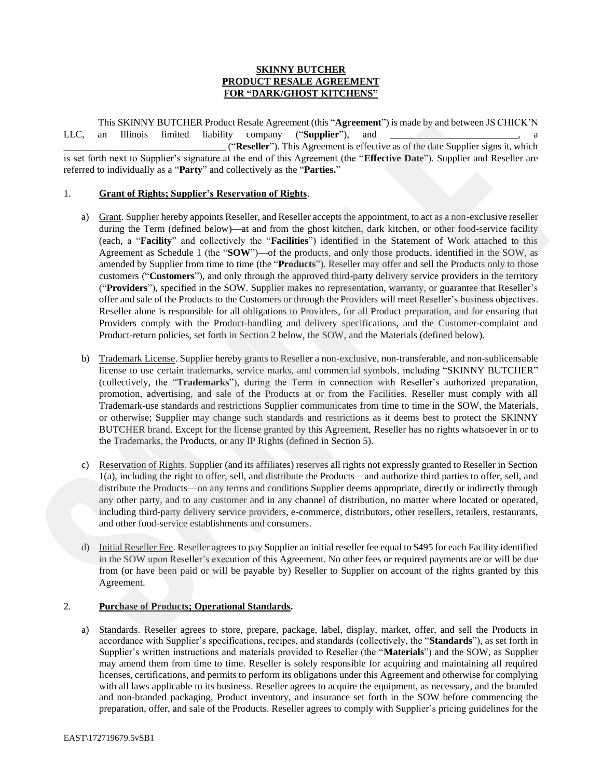# **SKINNY BUTCHER PRODUCT RESALE AGREEMENT FOR "DARK/GHOST KITCHENS"**

This SKINNY BUTCHER Product Resale Agreement (this "**Agreement**") is made by and between JS CHICK'N LLC, an Illinois limited liability company ("Supplier"), and

\_\_\_\_\_\_\_\_\_\_\_\_\_\_\_\_\_\_\_\_\_\_\_\_\_\_\_\_\_\_\_\_\_ ("**Reseller**"). This Agreement is effective as of the date Supplier signs it, which is set forth next to Supplier's signature at the end of this Agreement (the "**Effective Date**"). Supplier and Reseller are referred to individually as a "**Party**" and collectively as the "**Parties.**"

### 1. **Grant of Rights; Supplier's Reservation of Rights**.

- a) Grant. Supplier hereby appoints Reseller, and Reseller accepts the appointment, to act as a non-exclusive reseller during the Term (defined below)—at and from the ghost kitchen, dark kitchen, or other food-service facility (each, a "**Facility**" and collectively the "**Facilities**") identified in the Statement of Work attached to this Agreement as **Schedule 1** (the "**SOW**")—of the products, and only those products, identified in the SOW, as amended by Supplier from time to time (the "**Products**"). Reseller may offer and sell the Products only to those customers ("**Customers**"), and only through the approved third-party delivery service providers in the territory ("**Providers**"), specified in the SOW. Supplier makes no representation, warranty, or guarantee that Reseller's offer and sale of the Products to the Customers or through the Providers will meet Reseller's business objectives. Reseller alone is responsible for all obligations to Providers, for all Product preparation, and for ensuring that Providers comply with the Product-handling and delivery specifications, and the Customer-complaint and Product-return policies, set forth in Section 2 below, the SOW, and the Materials (defined below). The NSINY WIITCHNE branch them key personer (this Appendent) is vendely and between BCHICKN<br>
ILEC and This Sampler's additional methods of the system of the system of the system of the system of the system of the system of
	- b) Trademark License. Supplier hereby grants to Reseller a non-exclusive, non-transferable, and non-sublicensable license to use certain trademarks, service marks, and commercial symbols, including "SKINNY BUTCHER" (collectively, the "**Trademarks**"), during the Term in connection with Reseller's authorized preparation, promotion, advertising, and sale of the Products at or from the Facilities. Reseller must comply with all Trademark-use standards and restrictions Supplier communicates from time to time in the SOW, the Materials, or otherwise; Supplier may change such standards and restrictions as it deems best to protect the SKINNY BUTCHER brand. Except for the license granted by this Agreement, Reseller has no rights whatsoever in or to the Trademarks, the Products, or any IP Rights (defined in Section 5).
	- c) Reservation of Rights. Supplier (and its affiliates) reserves all rights not expressly granted to Reseller in Section 1(a), including the right to offer, sell, and distribute the Products—and authorize third parties to offer, sell, and distribute the Products—on any terms and conditions Supplier deems appropriate, directly or indirectly through any other party, and to any customer and in any channel of distribution, no matter where located or operated, including third-party delivery service providers, e-commerce, distributors, other resellers, retailers, restaurants, and other food-service establishments and consumers.
	- d) Initial Reseller Fee. Reseller agrees to pay Supplier an initial reseller fee equal to \$495 for each Facility identified in the SOW upon Reseller's execution of this Agreement. No other fees or required payments are or will be due from (or have been paid or will be payable by) Reseller to Supplier on account of the rights granted by this Agreement.

# 2. **Purchase of Products; Operational Standards.**

a) Standards. Reseller agrees to store, prepare, package, label, display, market, offer, and sell the Products in accordance with Supplier's specifications, recipes, and standards (collectively, the "**Standards**"), as set forth in Supplier's written instructions and materials provided to Reseller (the "**Materials**") and the SOW, as Supplier may amend them from time to time. Reseller is solely responsible for acquiring and maintaining all required licenses, certifications, and permits to perform its obligations under this Agreement and otherwise for complying with all laws applicable to its business. Reseller agrees to acquire the equipment, as necessary, and the branded and non-branded packaging, Product inventory, and insurance set forth in the SOW before commencing the preparation, offer, and sale of the Products. Reseller agrees to comply with Supplier's pricing guidelines for the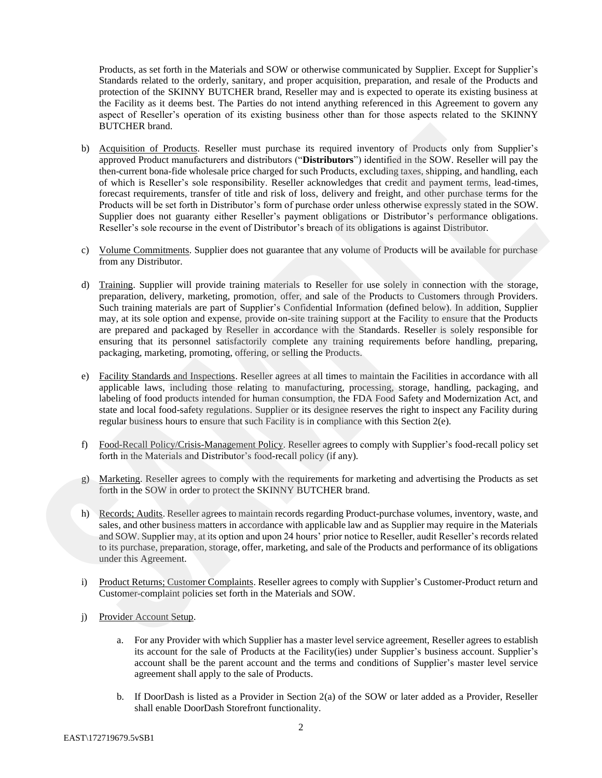Products, as set forth in the Materials and SOW or otherwise communicated by Supplier. Except for Supplier's Standards related to the orderly, sanitary, and proper acquisition, preparation, and resale of the Products and protection of the SKINNY BUTCHER brand, Reseller may and is expected to operate its existing business at the Facility as it deems best. The Parties do not intend anything referenced in this Agreement to govern any aspect of Reseller's operation of its existing business other than for those aspects related to the SKINNY BUTCHER brand.

- b) Acquisition of Products. Reseller must purchase its required inventory of Products only from Supplier's approved Product manufacturers and distributors ("**Distributors**") identified in the SOW. Reseller will pay the then-current bona-fide wholesale price charged for such Products, excluding taxes, shipping, and handling, each of which is Reseller's sole responsibility. Reseller acknowledges that credit and payment terms, lead-times, forecast requirements, transfer of title and risk of loss, delivery and freight, and other purchase terms for the Products will be set forth in Distributor's form of purchase order unless otherwise expressly stated in the SOW. Supplier does not guaranty either Reseller's payment obligations or Distributor's performance obligations. Reseller's sole recourse in the event of Distributor's breach of its obligations is against Distributor. BUTCHER bond.<br>
So anti-inferred and methods in the priori interiment in terminal investor of Products only from Suppler's and methods only the system of the system of the system of the system of the system of the system of
	- c) Volume Commitments. Supplier does not guarantee that any volume of Products will be available for purchase from any Distributor.
	- d) Training. Supplier will provide training materials to Reseller for use solely in connection with the storage, preparation, delivery, marketing, promotion, offer, and sale of the Products to Customers through Providers. Such training materials are part of Supplier's Confidential Information (defined below). In addition, Supplier may, at its sole option and expense, provide on-site training support at the Facility to ensure that the Products are prepared and packaged by Reseller in accordance with the Standards. Reseller is solely responsible for ensuring that its personnel satisfactorily complete any training requirements before handling, preparing, packaging, marketing, promoting, offering, or selling the Products.
	- e) Facility Standards and Inspections. Reseller agrees at all times to maintain the Facilities in accordance with all applicable laws, including those relating to manufacturing, processing, storage, handling, packaging, and labeling of food products intended for human consumption, the FDA Food Safety and Modernization Act, and state and local food-safety regulations. Supplier or its designee reserves the right to inspect any Facility during regular business hours to ensure that such Facility is in compliance with this Section 2(e).
	- f) Food-Recall Policy/Crisis-Management Policy. Reseller agrees to comply with Supplier's food-recall policy set forth in the Materials and Distributor's food-recall policy (if any).
	- g) Marketing. Reseller agrees to comply with the requirements for marketing and advertising the Products as set forth in the SOW in order to protect the SKINNY BUTCHER brand.
	- h) Records; Audits. Reseller agrees to maintain records regarding Product-purchase volumes, inventory, waste, and sales, and other business matters in accordance with applicable law and as Supplier may require in the Materials and SOW.Supplier may, at its option and upon 24 hours' prior notice to Reseller, audit Reseller's records related to its purchase, preparation, storage, offer, marketing, and sale of the Products and performance of its obligations under this Agreement.
	- i) Product Returns; Customer Complaints. Reseller agrees to comply with Supplier's Customer-Product return and Customer-complaint policies set forth in the Materials and SOW.
	- j) Provider Account Setup.
		- a. For any Provider with which Supplier has a master level service agreement, Reseller agrees to establish its account for the sale of Products at the Facility(ies) under Supplier's business account. Supplier's account shall be the parent account and the terms and conditions of Supplier's master level service agreement shall apply to the sale of Products.
		- b. If DoorDash is listed as a Provider in Section 2(a) of the SOW or later added as a Provider, Reseller shall enable DoorDash Storefront functionality.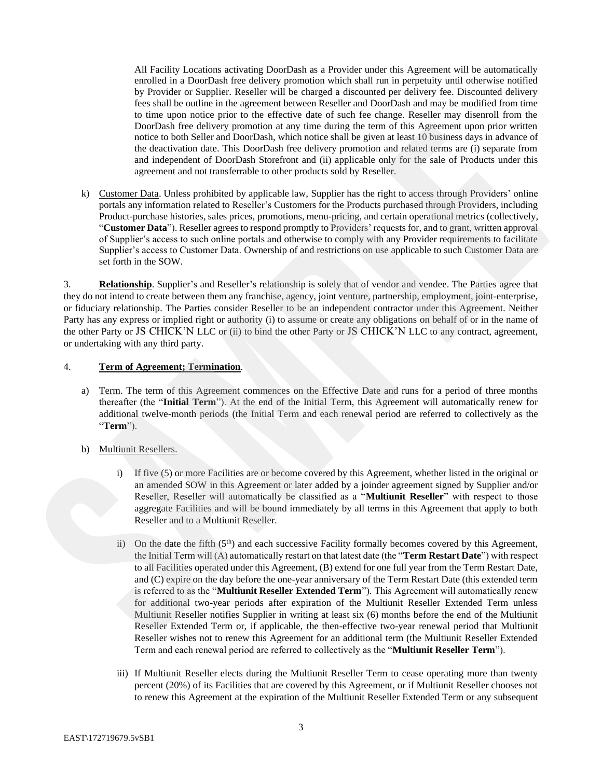All Facility Locations activating DoorDash as a Provider under this Agreement will be automatically enrolled in a DoorDash free delivery promotion which shall run in perpetuity until otherwise notified by Provider or Supplier. Reseller will be charged a discounted per delivery fee. Discounted delivery fees shall be outline in the agreement between Reseller and DoorDash and may be modified from time to time upon notice prior to the effective date of such fee change. Reseller may disenroll from the DoorDash free delivery promotion at any time during the term of this Agreement upon prior written notice to both Seller and DoorDash, which notice shall be given at least 10 business days in advance of the deactivation date. This DoorDash free delivery promotion and related terms are (i) separate from and independent of DoorDash Storefront and (ii) applicable only for the sale of Products under this agreement and not transferrable to other products sold by Reseller.

k) Customer Data. Unless prohibited by applicable law, Supplier has the right to access through Providers' online portals any information related to Reseller's Customers for the Products purchased through Providers, including Product-purchase histories, sales prices, promotions, menu-pricing, and certain operational metrics (collectively, "**Customer Data**"). Reseller agrees to respond promptly to Providers' requests for, and to grant, written approval of Supplier's access to such online portals and otherwise to comply with any Provider requirements to facilitate Supplier's access to Customer Data. Ownership of and restrictions on use applicable to such Customer Data are set forth in the SOW.

3. **Relationship**. Supplier's and Reseller's relationship is solely that of vendor and vendee. The Parties agree that they do not intend to create between them any franchise, agency, joint venture, partnership, employment, joint-enterprise, or fiduciary relationship. The Parties consider Reseller to be an independent contractor under this Agreement. Neither Party has any express or implied right or authority (i) to assume or create any obligations on behalf of or in the name of the other Party or JS CHICK'N LLC or (ii) to bind the other Party or JS CHICK'N LLC to any contract, agreement, or undertaking with any third party.

# 4. **Term of Agreement; Termination**.

- a) Term. The term of this Agreement commences on the Effective Date and runs for a period of three months thereafter (the "**Initial Term**"). At the end of the Initial Term, this Agreement will automatically renew for additional twelve-month periods (the Initial Term and each renewal period are referred to collectively as the "**Term**").
- b) Multiunit Resellers.
	- i) If five (5) or more Facilities are or become covered by this Agreement, whether listed in the original or an amended SOW in this Agreement or later added by a joinder agreement signed by Supplier and/or Reseller, Reseller will automatically be classified as a "**Multiunit Reseller**" with respect to those aggregate Facilities and will be bound immediately by all terms in this Agreement that apply to both Reseller and to a Multiunit Reseller.
- ii) On the date the fifth  $(5<sup>th</sup>)$  and each successive Facility formally becomes covered by this Agreement, the Initial Term will (A) automatically restart on that latest date (the "**Term Restart Date**") with respect to all Facilities operated under this Agreement, (B) extend for one full year from the Term Restart Date, and (C) expire on the day before the one-year anniversary of the Term Restart Date (this extended term is referred to as the "**Multiunit Reseller Extended Term**"). This Agreement will automatically renew for additional two-year periods after expiration of the Multiunit Reseller Extended Term unless Multiunit Reseller notifies Supplier in writing at least six (6) months before the end of the Multiunit Reseller Extended Term or, if applicable, the then-effective two-year renewal period that Multiunit Reseller wishes not to renew this Agreement for an additional term (the Multiunit Reseller Extended Term and each renewal period are referred to collectively as the "**Multiunit Reseller Term**"). Foorbala here delivery memorian at any time derivery he term of this Agreement (now principal in the delivery memorian at the present of the section of the control of the control of the control of the control of the contr
	- iii) If Multiunit Reseller elects during the Multiunit Reseller Term to cease operating more than twenty percent (20%) of its Facilities that are covered by this Agreement, or if Multiunit Reseller chooses not to renew this Agreement at the expiration of the Multiunit Reseller Extended Term or any subsequent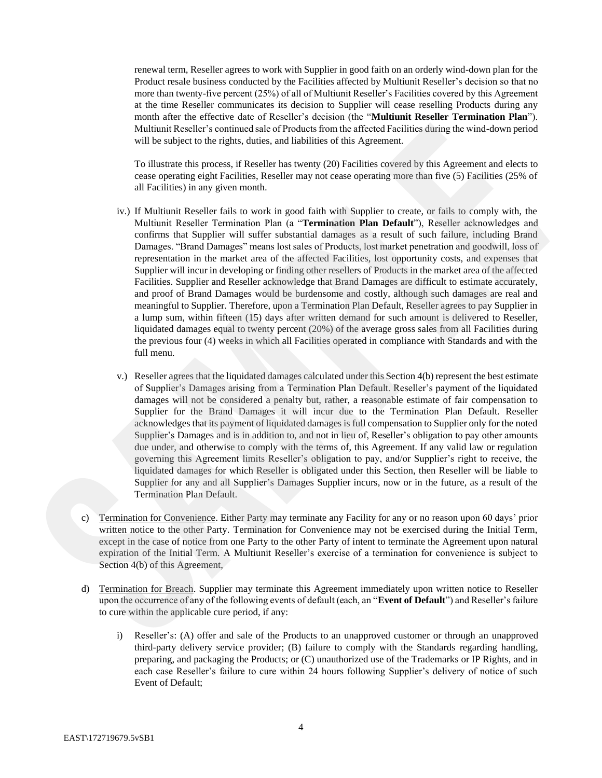renewal term, Reseller agrees to work with Supplier in good faith on an orderly wind-down plan for the Product resale business conducted by the Facilities affected by Multiunit Reseller's decision so that no more than twenty-five percent (25%) of all of Multiunit Reseller's Facilities covered by this Agreement at the time Reseller communicates its decision to Supplier will cease reselling Products during any month after the effective date of Reseller's decision (the "**Multiunit Reseller Termination Plan**"). Multiunit Reseller's continued sale of Products from the affected Facilities during the wind-down period will be subject to the rights, duties, and liabilities of this Agreement.

To illustrate this process, if Reseller has twenty (20) Facilities covered by this Agreement and elects to cease operating eight Facilities, Reseller may not cease operating more than five (5) Facilities (25% of all Facilities) in any given month.

- iv.) If Multiunit Reseller fails to work in good faith with Supplier to create, or fails to comply with, the Multiunit Reseller Termination Plan (a "**Termination Plan Default**"), Reseller acknowledges and confirms that Supplier will suffer substantial damages as a result of such failure, including Brand Damages. "Brand Damages" means lost sales of Products, lost market penetration and goodwill, loss of representation in the market area of the affected Facilities, lost opportunity costs, and expenses that Supplier will incur in developing or finding other resellers of Products in the market area of the affected Facilities. Supplier and Reseller acknowledge that Brand Damages are difficult to estimate accurately, and proof of Brand Damages would be burdensome and costly, although such damages are real and meaningful to Supplier. Therefore, upon a Termination Plan Default, Reseller agrees to pay Supplier in a lump sum, within fifteen (15) days after written demand for such amount is delivered to Reseller, liquidated damages equal to twenty percent (20%) of the average gross sales from all Facilities during the previous four (4) weeks in which all Facilities operated in compliance with Standards and with the full menu. Malaine Resolved societies considered and of Poolence form the effected Feelibles and the street of the street of the street of the street of the spectra of the spectra of the spectra of the spectra of the spectra of the s
	- v.) Reseller agrees that the liquidated damages calculated under this Section 4(b) represent the best estimate of Supplier's Damages arising from a Termination Plan Default. Reseller's payment of the liquidated damages will not be considered a penalty but, rather, a reasonable estimate of fair compensation to Supplier for the Brand Damages it will incur due to the Termination Plan Default. Reseller acknowledges that its payment of liquidated damages is full compensation to Supplier only for the noted Supplier's Damages and is in addition to, and not in lieu of, Reseller's obligation to pay other amounts due under, and otherwise to comply with the terms of, this Agreement. If any valid law or regulation governing this Agreement limits Reseller's obligation to pay, and/or Supplier's right to receive, the liquidated damages for which Reseller is obligated under this Section, then Reseller will be liable to Supplier for any and all Supplier's Damages Supplier incurs, now or in the future, as a result of the Termination Plan Default.
	- c) Termination for Convenience. Either Party may terminate any Facility for any or no reason upon 60 days' prior written notice to the other Party. Termination for Convenience may not be exercised during the Initial Term, except in the case of notice from one Party to the other Party of intent to terminate the Agreement upon natural expiration of the Initial Term. A Multiunit Reseller's exercise of a termination for convenience is subject to Section 4(b) of this Agreement,
	- d) Termination for Breach. Supplier may terminate this Agreement immediately upon written notice to Reseller upon the occurrence of any of the following events of default (each, an "**Event of Default**") and Reseller's failure to cure within the applicable cure period, if any:
		- i) Reseller's: (A) offer and sale of the Products to an unapproved customer or through an unapproved third-party delivery service provider; (B) failure to comply with the Standards regarding handling, preparing, and packaging the Products; or (C) unauthorized use of the Trademarks or IP Rights, and in each case Reseller's failure to cure within 24 hours following Supplier's delivery of notice of such Event of Default;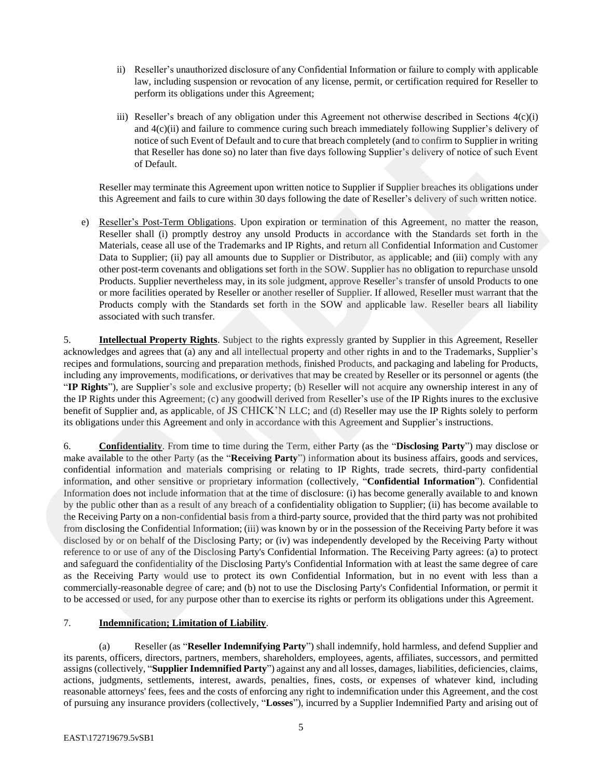- ii) Reseller's unauthorized disclosure of any Confidential Information or failure to comply with applicable law, including suspension or revocation of any license, permit, or certification required for Reseller to perform its obligations under this Agreement;
- iii) Reseller's breach of any obligation under this Agreement not otherwise described in Sections 4(c)(i) and 4(c)(ii) and failure to commence curing such breach immediately following Supplier's delivery of notice of such Event of Default and to cure that breach completely (and to confirm to Supplier in writing that Reseller has done so) no later than five days following Supplier's delivery of notice of such Event of Default.

Reseller may terminate this Agreement upon written notice to Supplier if Supplier breaches its obligations under this Agreement and fails to cure within 30 days following the date of Reseller's delivery of such written notice.

e) Reseller's Post-Term Obligations. Upon expiration or termination of this Agreement, no matter the reason, Reseller shall (i) promptly destroy any unsold Products in accordance with the Standards set forth in the Materials, cease all use of the Trademarks and IP Rights, and return all Confidential Information and Customer Data to Supplier; (ii) pay all amounts due to Supplier or Distributor, as applicable; and (iii) comply with any other post-term covenants and obligations set forth in the SOW. Supplier has no obligation to repurchase unsold Products. Supplier nevertheless may, in its sole judgment, approve Reseller's transfer of unsold Products to one or more facilities operated by Reseller or another reseller of Supplier. If allowed, Reseller must warrant that the Products comply with the Standards set forth in the SOW and applicable law. Reseller bears all liability associated with such transfer.

5. **Intellectual Property Rights**. Subject to the rights expressly granted by Supplier in this Agreement, Reseller acknowledges and agrees that (a) any and all intellectual property and other rights in and to the Trademarks, Supplier's recipes and formulations, sourcing and preparation methods, finished Products, and packaging and labeling for Products, including any improvements, modifications, or derivatives that may be created by Reseller or its personnel or agents (the "**IP Rights**"), are Supplier's sole and exclusive property; (b) Reseller will not acquire any ownership interest in any of the IP Rights under this Agreement; (c) any goodwill derived from Reseller's use of the IP Rights inures to the exclusive benefit of Supplier and, as applicable, of JS CHICK'N LLC; and (d) Reseller may use the IP Rights solely to perform its obligations under this Agreement and only in accordance with this Agreement and Supplier's instructions.

6. **Confidentiality**. From time to time during the Term, either Party (as the "**Disclosing Party**") may disclose or make available to the other Party (as the "**Receiving Party**") information about its business affairs, goods and services, confidential information and materials comprising or relating to IP Rights, trade secrets, third-party confidential information, and other sensitive or proprietary information (collectively, "**Confidential Information**"). Confidential Information does not include information that at the time of disclosure: (i) has become generally available to and known by the public other than as a result of any breach of a confidentiality obligation to Supplier; (ii) has become available to the Receiving Party on a non-confidential basis from a third-party source, provided that the third party was not prohibited from disclosing the Confidential Information; (iii) was known by or in the possession of the Receiving Party before it was disclosed by or on behalf of the Disclosing Party; or (iv) was independently developed by the Receiving Party without reference to or use of any of the Disclosing Party's Confidential Information. The Receiving Party agrees: (a) to protect and safeguard the confidentiality of the Disclosing Party's Confidential Information with at least the same degree of care as the Receiving Party would use to protect its own Confidential Information, but in no event with less than a commercially-reasonable degree of care; and (b) not to use the Disclosing Party's Confidential Information, or permit it to be accessed or used, for any purpose other than to exercise its rights or perform its obligations under this Agreement. and 50 chili at failure to consinues coins and huesh inneediately following Sapplic's delivery of<br>the state in the technical methods in the state in the state in the state in the state in the state in the state in the stat

# 7. **Indemnification; Limitation of Liability**.

(a) Reseller (as "**Reseller Indemnifying Party**") shall indemnify, hold harmless, and defend Supplier and its parents, officers, directors, partners, members, shareholders, employees, agents, affiliates, successors, and permitted assigns (collectively, "**Supplier Indemnified Party**") against any and all losses, damages, liabilities, deficiencies, claims, actions, judgments, settlements, interest, awards, penalties, fines, costs, or expenses of whatever kind, including reasonable attorneys' fees, fees and the costs of enforcing any right to indemnification under this Agreement, and the cost of pursuing any insurance providers (collectively, "**Losses**"), incurred by a Supplier Indemnified Party and arising out of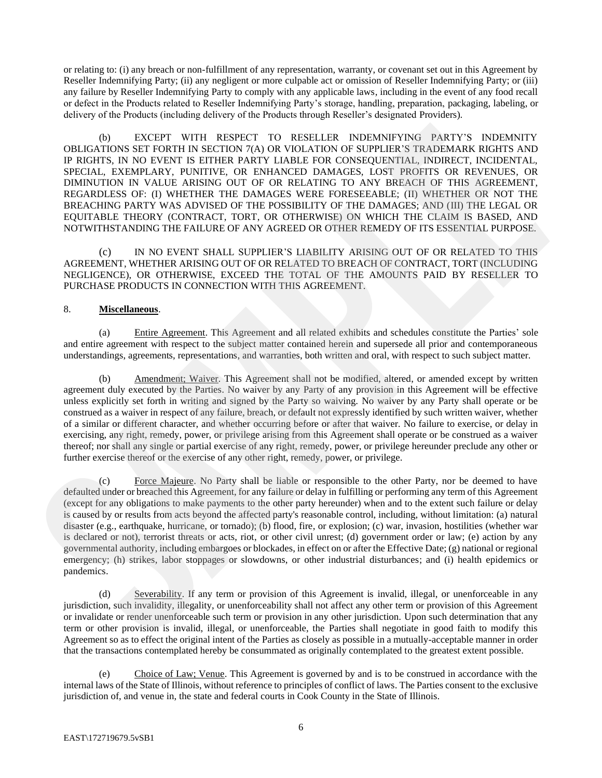or relating to: (i) any breach or non-fulfillment of any representation, warranty, or covenant set out in this Agreement by Reseller Indemnifying Party; (ii) any negligent or more culpable act or omission of Reseller Indemnifying Party; or (iii) any failure by Reseller Indemnifying Party to comply with any applicable laws, including in the event of any food recall or defect in the Products related to Reseller Indemnifying Party's storage, handling, preparation, packaging, labeling, or delivery of the Products (including delivery of the Products through Reseller's designated Providers).

(b) EXCEPT WITH RESPECT TO RESELLER INDEMNIFYING PARTY'S INDEMNITY OBLIGATIONS SET FORTH IN SECTION 7(A) OR VIOLATION OF SUPPLIER'S TRADEMARK RIGHTS AND IP RIGHTS, IN NO EVENT IS EITHER PARTY LIABLE FOR CONSEQUENTIAL, INDIRECT, INCIDENTAL, SPECIAL, EXEMPLARY, PUNITIVE, OR ENHANCED DAMAGES, LOST PROFITS OR REVENUES, OR DIMINUTION IN VALUE ARISING OUT OF OR RELATING TO ANY BREACH OF THIS AGREEMENT, REGARDLESS OF: (I) WHETHER THE DAMAGES WERE FORESEEABLE; (II) WHETHER OR NOT THE BREACHING PARTY WAS ADVISED OF THE POSSIBILITY OF THE DAMAGES; AND (III) THE LEGAL OR EQUITABLE THEORY (CONTRACT, TORT, OR OTHERWISE) ON WHICH THE CLAIM IS BASED, AND NOTWITHSTANDING THE FAILURE OF ANY AGREED OR OTHER REMEDY OF ITS ESSENTIAL PURPOSE. **OBLIGADOS EXCEPT WITH RESPECT TO RESELLER INDEMNIFYIXO PARTYS INDENSITY<br>OBLIGADOS EXCEPT WITH RESPECT TO RESELLER INDENSITY OF SUPRAIS REGIONAL REGIONAL INTOXINATION IN THE STAND MANUS REGIONAL REGIONAL REGIONAL IN THE CL** 

(c) IN NO EVENT SHALL SUPPLIER'S LIABILITY ARISING OUT OF OR RELATED TO THIS AGREEMENT, WHETHER ARISING OUT OF OR RELATED TO BREACH OF CONTRACT, TORT (INCLUDING NEGLIGENCE), OR OTHERWISE, EXCEED THE TOTAL OF THE AMOUNTS PAID BY RESELLER TO PURCHASE PRODUCTS IN CONNECTION WITH THIS AGREEMENT.

# 8. **Miscellaneous**.

(a) Entire Agreement. This Agreement and all related exhibits and schedules constitute the Parties' sole and entire agreement with respect to the subject matter contained herein and supersede all prior and contemporaneous understandings, agreements, representations, and warranties, both written and oral, with respect to such subject matter.

(b) Amendment; Waiver. This Agreement shall not be modified, altered, or amended except by written agreement duly executed by the Parties. No waiver by any Party of any provision in this Agreement will be effective unless explicitly set forth in writing and signed by the Party so waiving. No waiver by any Party shall operate or be construed as a waiver in respect of any failure, breach, or default not expressly identified by such written waiver, whether of a similar or different character, and whether occurring before or after that waiver. No failure to exercise, or delay in exercising, any right, remedy, power, or privilege arising from this Agreement shall operate or be construed as a waiver thereof; nor shall any single or partial exercise of any right, remedy, power, or privilege hereunder preclude any other or further exercise thereof or the exercise of any other right, remedy, power, or privilege.

(c) Force Majeure. No Party shall be liable or responsible to the other Party, nor be deemed to have defaulted under or breached this Agreement, for any failure or delay in fulfilling or performing any term of this Agreement (except for any obligations to make payments to the other party hereunder) when and to the extent such failure or delay is caused by or results from acts beyond the affected party's reasonable control, including, without limitation: (a) natural disaster (e.g., earthquake, hurricane, or tornado); (b) flood, fire, or explosion; (c) war, invasion, hostilities (whether war is declared or not), terrorist threats or acts, riot, or other civil unrest; (d) government order or law; (e) action by any governmental authority, including embargoes or blockades, in effect on or after the Effective Date; (g) national or regional emergency; (h) strikes, labor stoppages or slowdowns, or other industrial disturbances; and (i) health epidemics or pandemics.

(d) Severability. If any term or provision of this Agreement is invalid, illegal, or unenforceable in any jurisdiction, such invalidity, illegality, or unenforceability shall not affect any other term or provision of this Agreement or invalidate or render unenforceable such term or provision in any other jurisdiction. Upon such determination that any term or other provision is invalid, illegal, or unenforceable, the Parties shall negotiate in good faith to modify this Agreement so as to effect the original intent of the Parties as closely as possible in a mutually-acceptable manner in order that the transactions contemplated hereby be consummated as originally contemplated to the greatest extent possible.

(e) Choice of Law; Venue. This Agreement is governed by and is to be construed in accordance with the internal laws of the State of Illinois, without reference to principles of conflict of laws. The Parties consent to the exclusive jurisdiction of, and venue in, the state and federal courts in Cook County in the State of Illinois.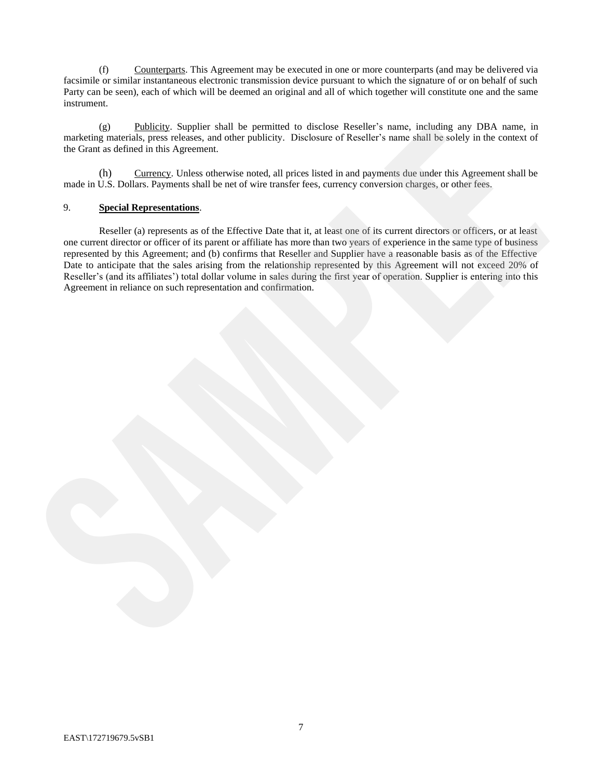(f) Counterparts. This Agreement may be executed in one or more counterparts (and may be delivered via facsimile or similar instantaneous electronic transmission device pursuant to which the signature of or on behalf of such Party can be seen), each of which will be deemed an original and all of which together will constitute one and the same instrument.

(g) Publicity. Supplier shall be permitted to disclose Reseller's name, including any DBA name, in marketing materials, press releases, and other publicity. Disclosure of Reseller's name shall be solely in the context of the Grant as defined in this Agreement.

(h) Currency. Unless otherwise noted, all prices listed in and payments due under this Agreement shall be made in U.S. Dollars. Payments shall be net of wire transfer fees, currency conversion charges, or other fees.

### 9. **Special Representations**.

Reseller (a) represents as of the Effective Date that it, at least one of its current directors or officers, or at least one current director or officer of its parent or affiliate has more than two years of experience in the same type of business represented by this Agreement; and (b) confirms that Reseller and Supplier have a reasonable basis as of the Effective Date to anticipate that the sales arising from the relationship represented by this Agreement will not exceed 20% of Reseller's (and its affiliates') total dollar volume in sales during the first year of operation. Supplier is entering into this Agreement in reliance on such representation and confirmation. (g) Photologic Sapplier dual to permission of their<br>distribution (see the context of the Contract of the Contract of the Contract of the Contract of the Contract of the Contract of the Contract of the Contract of the Contr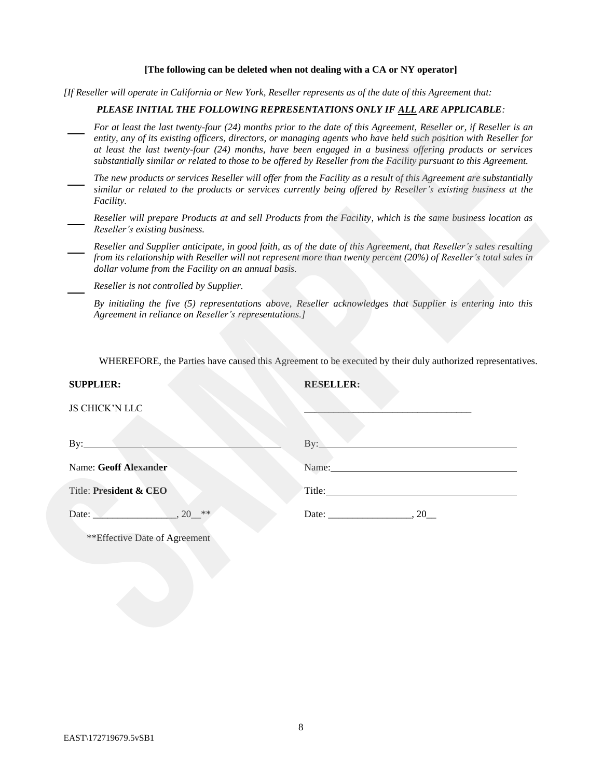#### **[The following can be deleted when not dealing with a CA or NY operator]**

*[If Reseller will operate in California or New York, Reseller represents as of the date of this Agreement that:*

#### *PLEASE INITIAL THE FOLLOWING REPRESENTATIONS ONLY IF ALL ARE APPLICABLE:*

- *For at least the last twenty-four (24) months prior to the date of this Agreement, Reseller or, if Reseller is an entity, any of its existing officers, directors, or managing agents who have held such position with Reseller for at least the last twenty-four (24) months, have been engaged in a business offering products or services substantially similar or related to those to be offered by Reseller from the Facility pursuant to this Agreement.*
- *The new products or services Reseller will offer from the Facility as a result of this Agreement are substantially similar or related to the products or services currently being offered by Reseller's existing business at the Facility.*
- *Reseller will prepare Products at and sell Products from the Facility, which is the same business location as Reseller's existing business.*
- *Reseller and Supplier anticipate, in good faith, as of the date of this Agreement, that Reseller's sales resulting from its relationship with Reseller will not represent more than twenty percent (20%) of Reseller's total sales in dollar volume from the Facility on an annual basis.*

| The new products or services Reseller will offer from the Facility as a result of this Agreement are substantially<br>similar or related to the products or services currently being offered by Reseller's existing business at the                                                             |  |  |  |  |  |
|-------------------------------------------------------------------------------------------------------------------------------------------------------------------------------------------------------------------------------------------------------------------------------------------------|--|--|--|--|--|
|                                                                                                                                                                                                                                                                                                 |  |  |  |  |  |
| Reseller will prepare Products at and sell Products from the Facility, which is the same business location as<br>Reseller's existing business.                                                                                                                                                  |  |  |  |  |  |
| Reseller and Supplier anticipate, in good faith, as of the date of this Agreement, that Reseller's sales resulting<br>from its relationship with Reseller will not represent more than twenty percent (20%) of Reseller's total sales in<br>dollar volume from the Facility on an annual basis. |  |  |  |  |  |
| Reseller is not controlled by Supplier.                                                                                                                                                                                                                                                         |  |  |  |  |  |
| By initialing the five (5) representations above, Reseller acknowledges that Supplier is entering into this<br>Agreement in reliance on Reseller's representations.]                                                                                                                            |  |  |  |  |  |
|                                                                                                                                                                                                                                                                                                 |  |  |  |  |  |
| By:                                                                                                                                                                                                                                                                                             |  |  |  |  |  |
| Name:                                                                                                                                                                                                                                                                                           |  |  |  |  |  |
| Title: The Commission of the Commission of the Commission of the Commission of the Commission of the Commission                                                                                                                                                                                 |  |  |  |  |  |
| Date: $\frac{1}{20}$<br>$20$ **                                                                                                                                                                                                                                                                 |  |  |  |  |  |
| **Effective Date of Agreement                                                                                                                                                                                                                                                                   |  |  |  |  |  |
| WHEREFORE, the Parties have caused this Agreement to be executed by their duly authorized representatives.                                                                                                                                                                                      |  |  |  |  |  |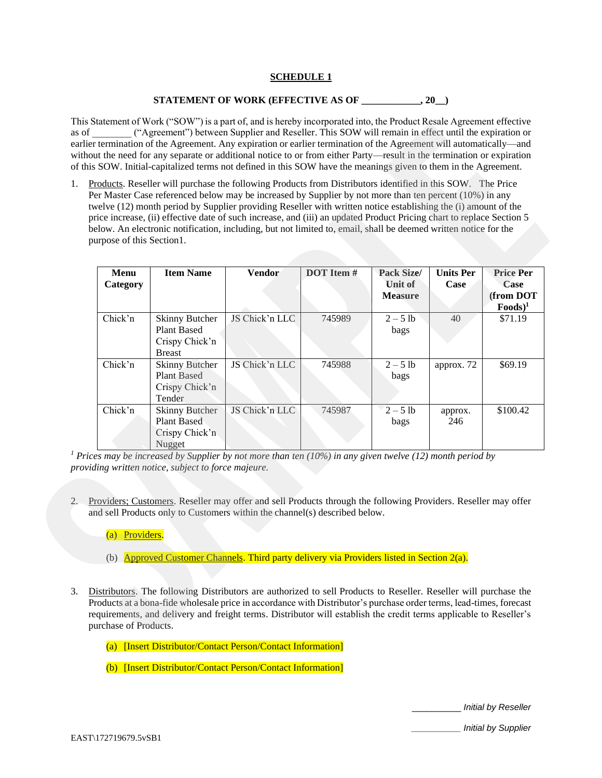# **SCHEDULE 1**

### **STATEMENT OF WORK (EFFECTIVE AS OF \_\_\_\_\_\_\_\_\_\_\_\_, 20\_\_)**

This Statement of Work ("SOW") is a part of, and is hereby incorporated into, the Product Resale Agreement effective as of  $($ "Agreement") between Supplier and Reseller. This SOW will remain in effect until the expiration or earlier termination of the Agreement. Any expiration or earlier termination of the Agreement will automatically—and without the need for any separate or additional notice to or from either Party—result in the termination or expiration of this SOW. Initial-capitalized terms not defined in this SOW have the meanings given to them in the Agreement.

| 1. | purpose of this Section1. | Products. Reseller will purchase the following Products from Distributors identified in this SOW. The Price<br>Per Master Case referenced below may be increased by Supplier by not more than ten percent (10%) in any<br>twelve (12) month period by Supplier providing Reseller with written notice establishing the (i) amount of the<br>price increase, (ii) effective date of such increase, and (iii) an updated Product Pricing chart to replace Section 5<br>below. An electronic notification, including, but not limited to, email, shall be deemed written notice for the |                |            |                                                                                            |                          |                                                     |
|----|---------------------------|--------------------------------------------------------------------------------------------------------------------------------------------------------------------------------------------------------------------------------------------------------------------------------------------------------------------------------------------------------------------------------------------------------------------------------------------------------------------------------------------------------------------------------------------------------------------------------------|----------------|------------|--------------------------------------------------------------------------------------------|--------------------------|-----------------------------------------------------|
|    | Menu<br>Category          | <b>Item Name</b>                                                                                                                                                                                                                                                                                                                                                                                                                                                                                                                                                                     | <b>Vendor</b>  | DOT Item # | <b>Pack Size/</b><br><b>Unit of</b><br><b>Measure</b>                                      | <b>Units Per</b><br>Case | <b>Price Per</b><br>Case<br>(from DOT<br>$Foods)^1$ |
|    | Chick'n                   | <b>Skinny Butcher</b><br><b>Plant Based</b><br>Crispy Chick'n<br><b>Breast</b>                                                                                                                                                                                                                                                                                                                                                                                                                                                                                                       | JS Chick'n LLC | 745989     | $2 - 5$ lb<br>bags                                                                         | 40                       | \$71.19                                             |
|    | Chick'n                   | <b>Skinny Butcher</b><br><b>Plant Based</b><br>Crispy Chick'n<br>Tender                                                                                                                                                                                                                                                                                                                                                                                                                                                                                                              | JS Chick'n LLC | 745988     | $2 - 5$ lb<br>bags                                                                         | approx. 72               | \$69.19                                             |
|    | Chick'n                   | <b>Skinny Butcher</b><br><b>Plant Based</b><br>Crispy Chick'n                                                                                                                                                                                                                                                                                                                                                                                                                                                                                                                        | JS Chick'n LLC | 745987     | $2 - 5$ lb<br>bags                                                                         | approx.<br>246           | \$100.42                                            |
| 2. | (a) Providers.            | Nugget<br><sup>1</sup> Prices may be increased by Supplier by not more than ten (10%) in any given twelve (12) month period by<br>providing written notice, subject to force majeure.<br>Providers; Customers. Reseller may offer and sell Products through the following Providers. Reseller may offer<br>and sell Products only to Customers within the channel(s) described below.                                                                                                                                                                                                |                |            |                                                                                            |                          |                                                     |
|    |                           |                                                                                                                                                                                                                                                                                                                                                                                                                                                                                                                                                                                      |                |            | (b) Approved Customer Channels. Third party delivery via Providers listed in Section 2(a). |                          |                                                     |

- (b) Approved Customer Channels. Third party delivery via Providers listed in Section 2(a).
- 3. Distributors. The following Distributors are authorized to sell Products to Reseller. Reseller will purchase the Products at a bona-fide wholesale price in accordance with Distributor's purchase order terms, lead-times, forecast requirements, and delivery and freight terms. Distributor will establish the credit terms applicable to Reseller's purchase of Products.
	- (a) [Insert Distributor/Contact Person/Contact Information]

(b) [Insert Distributor/Contact Person/Contact Information]

\_\_\_\_\_\_\_\_\_\_ *Initial by Reseller*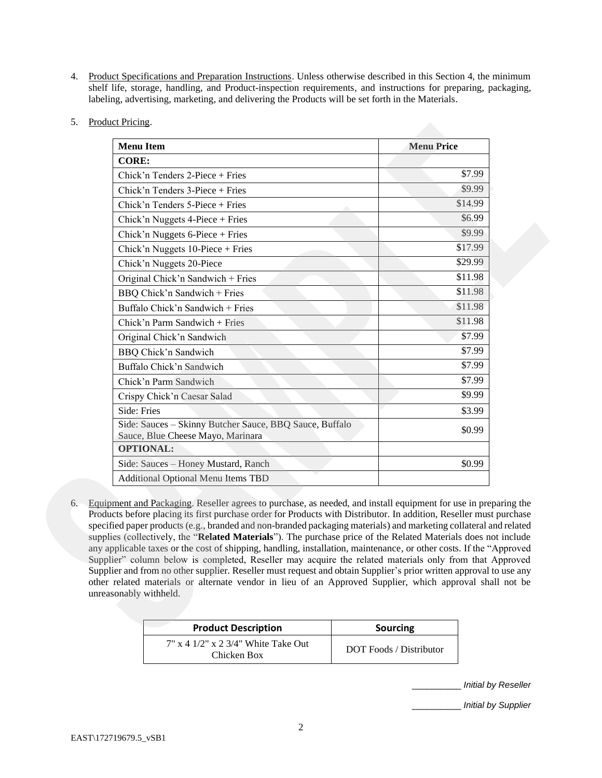- 4. Product Specifications and Preparation Instructions. Unless otherwise described in this Section 4, the minimum shelf life, storage, handling, and Product-inspection requirements, and instructions for preparing, packaging, labeling, advertising, marketing, and delivering the Products will be set forth in the Materials.
- 5. Product Pricing.

| <b>CORE:</b>                                                                                                                                                                                                                                                                                                                                                                                                                                                                                                                                                                                                                                                                                                                                                                                                                                                                                                                                                                 |         |
|------------------------------------------------------------------------------------------------------------------------------------------------------------------------------------------------------------------------------------------------------------------------------------------------------------------------------------------------------------------------------------------------------------------------------------------------------------------------------------------------------------------------------------------------------------------------------------------------------------------------------------------------------------------------------------------------------------------------------------------------------------------------------------------------------------------------------------------------------------------------------------------------------------------------------------------------------------------------------|---------|
| Chick'n Tenders 2-Piece + Fries                                                                                                                                                                                                                                                                                                                                                                                                                                                                                                                                                                                                                                                                                                                                                                                                                                                                                                                                              | \$7.99  |
| Chick'n Tenders 3-Piece + Fries                                                                                                                                                                                                                                                                                                                                                                                                                                                                                                                                                                                                                                                                                                                                                                                                                                                                                                                                              | \$9.99  |
| Chick'n Tenders 5-Piece + Fries                                                                                                                                                                                                                                                                                                                                                                                                                                                                                                                                                                                                                                                                                                                                                                                                                                                                                                                                              | \$14.99 |
| Chick'n Nuggets 4-Piece + Fries                                                                                                                                                                                                                                                                                                                                                                                                                                                                                                                                                                                                                                                                                                                                                                                                                                                                                                                                              | \$6.99  |
| Chick'n Nuggets $6$ -Piece + Fries                                                                                                                                                                                                                                                                                                                                                                                                                                                                                                                                                                                                                                                                                                                                                                                                                                                                                                                                           | \$9.99  |
| Chick'n Nuggets $10$ -Piece + Fries                                                                                                                                                                                                                                                                                                                                                                                                                                                                                                                                                                                                                                                                                                                                                                                                                                                                                                                                          | \$17.99 |
| Chick'n Nuggets 20-Piece                                                                                                                                                                                                                                                                                                                                                                                                                                                                                                                                                                                                                                                                                                                                                                                                                                                                                                                                                     | \$29.99 |
| Original Chick'n Sandwich + Fries                                                                                                                                                                                                                                                                                                                                                                                                                                                                                                                                                                                                                                                                                                                                                                                                                                                                                                                                            | \$11.98 |
| BBQ Chick'n Sandwich + Fries                                                                                                                                                                                                                                                                                                                                                                                                                                                                                                                                                                                                                                                                                                                                                                                                                                                                                                                                                 | \$11.98 |
| Buffalo Chick'n Sandwich + Fries                                                                                                                                                                                                                                                                                                                                                                                                                                                                                                                                                                                                                                                                                                                                                                                                                                                                                                                                             | \$11.98 |
| Chick'n Parm Sandwich + Fries                                                                                                                                                                                                                                                                                                                                                                                                                                                                                                                                                                                                                                                                                                                                                                                                                                                                                                                                                | \$11.98 |
| Original Chick'n Sandwich                                                                                                                                                                                                                                                                                                                                                                                                                                                                                                                                                                                                                                                                                                                                                                                                                                                                                                                                                    | \$7.99  |
| BBQ Chick'n Sandwich                                                                                                                                                                                                                                                                                                                                                                                                                                                                                                                                                                                                                                                                                                                                                                                                                                                                                                                                                         | \$7.99  |
| Buffalo Chick'n Sandwich                                                                                                                                                                                                                                                                                                                                                                                                                                                                                                                                                                                                                                                                                                                                                                                                                                                                                                                                                     | \$7.99  |
| Chick'n Parm Sandwich                                                                                                                                                                                                                                                                                                                                                                                                                                                                                                                                                                                                                                                                                                                                                                                                                                                                                                                                                        | \$7.99  |
| Crispy Chick'n Caesar Salad                                                                                                                                                                                                                                                                                                                                                                                                                                                                                                                                                                                                                                                                                                                                                                                                                                                                                                                                                  | \$9.99  |
| Side: Fries                                                                                                                                                                                                                                                                                                                                                                                                                                                                                                                                                                                                                                                                                                                                                                                                                                                                                                                                                                  | \$3.99  |
| Side: Sauces - Skinny Butcher Sauce, BBQ Sauce, Buffalo<br>Sauce, Blue Cheese Mayo, Marinara                                                                                                                                                                                                                                                                                                                                                                                                                                                                                                                                                                                                                                                                                                                                                                                                                                                                                 | \$0.99  |
| <b>OPTIONAL:</b>                                                                                                                                                                                                                                                                                                                                                                                                                                                                                                                                                                                                                                                                                                                                                                                                                                                                                                                                                             |         |
| Side: Sauces - Honey Mustard, Ranch                                                                                                                                                                                                                                                                                                                                                                                                                                                                                                                                                                                                                                                                                                                                                                                                                                                                                                                                          | \$0.99  |
| Additional Optional Menu Items TBD                                                                                                                                                                                                                                                                                                                                                                                                                                                                                                                                                                                                                                                                                                                                                                                                                                                                                                                                           |         |
| Equipment and Packaging. Reseller agrees to purchase, as needed, and install equipment for use in preparing the<br>Products before placing its first purchase order for Products with Distributor. In addition, Reseller must purchase<br>specified paper products (e.g., branded and non-branded packaging materials) and marketing collateral and related<br>supplies (collectively, the "Related Materials"). The purchase price of the Related Materials does not include<br>any applicable taxes or the cost of shipping, handling, installation, maintenance, or other costs. If the "Approved"<br>Supplier" column below is completed, Reseller may acquire the related materials only from that Approved<br>Supplier and from no other supplier. Reseller must request and obtain Supplier's prior written approval to use any<br>other related materials or alternate vendor in lieu of an Approved Supplier, which approval shall not be<br>unreasonably withheld. |         |
|                                                                                                                                                                                                                                                                                                                                                                                                                                                                                                                                                                                                                                                                                                                                                                                                                                                                                                                                                                              |         |

| <b>Product Description</b>                                  | <b>Sourcing</b>         |
|-------------------------------------------------------------|-------------------------|
| $7''$ x 4 $1/2''$ x 2 $3/4''$ White Take Out<br>Chicken Box | DOT Foods / Distributor |

\_\_\_\_\_\_\_\_\_\_ *Initial by Reseller*

\_\_\_\_\_\_\_\_\_\_ *Initial by Supplier*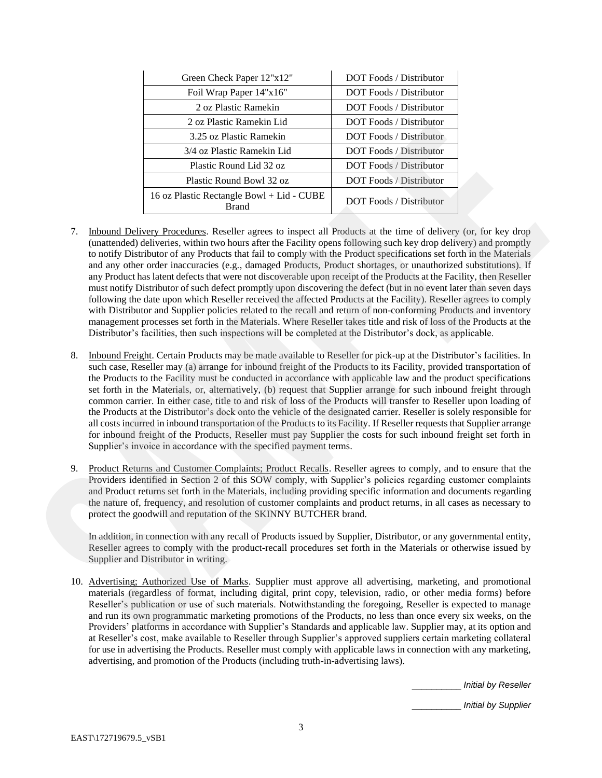| Green Check Paper 12"x12"                                 | <b>DOT Foods</b> / Distributor |
|-----------------------------------------------------------|--------------------------------|
| Foil Wrap Paper 14"x16"                                   | DOT Foods / Distributor        |
| 2 oz Plastic Ramekin                                      | DOT Foods / Distributor        |
| 2 oz Plastic Ramekin Lid                                  | DOT Foods / Distributor        |
| 3.25 oz Plastic Ramekin                                   | <b>DOT Foods / Distributor</b> |
| 3/4 oz Plastic Ramekin Lid                                | <b>DOT Foods</b> / Distributor |
| Plastic Round Lid 32 oz                                   | <b>DOT Foods</b> / Distributor |
| Plastic Round Bowl 32 oz                                  | <b>DOT Foods</b> / Distributor |
| 16 oz Plastic Rectangle Bowl + Lid - CUBE<br><b>Brand</b> | <b>DOT Foods</b> / Distributor |

- 7. Inbound Delivery Procedures. Reseller agrees to inspect all Products at the time of delivery (or, for key drop (unattended) deliveries, within two hours after the Facility opens following such key drop delivery) and promptly to notify Distributor of any Products that fail to comply with the Product specifications set forth in the Materials and any other order inaccuracies (e.g., damaged Products, Product shortages, or unauthorized substitutions). If any Product has latent defects that were not discoverable upon receipt of the Products at the Facility, then Reseller must notify Distributor of such defect promptly upon discovering the defect (but in no event later than seven days following the date upon which Reseller received the affected Products at the Facility). Reseller agrees to comply with Distributor and Supplier policies related to the recall and return of non-conforming Products and inventory management processes set forth in the Materials. Where Reseller takes title and risk of loss of the Products at the Distributor's facilities, then such inspections will be completed at the Distributor's dock, as applicable. A or Henric Kennels Information 1011 Technic Results and the matrix and the matrix and the matrix and the matrix and the matrix and the matrix and the matrix and the matrix and the matrix and the matrix and the matrix and
	- 8. Inbound Freight. Certain Products may be made available to Reseller for pick-up at the Distributor's facilities. In such case, Reseller may (a) arrange for inbound freight of the Products to its Facility, provided transportation of the Products to the Facility must be conducted in accordance with applicable law and the product specifications set forth in the Materials, or, alternatively, (b) request that Supplier arrange for such inbound freight through common carrier. In either case, title to and risk of loss of the Products will transfer to Reseller upon loading of the Products at the Distributor's dock onto the vehicle of the designated carrier. Reseller is solely responsible for all costs incurred in inbound transportation of the Products to its Facility. If Reseller requests that Supplier arrange for inbound freight of the Products, Reseller must pay Supplier the costs for such inbound freight set forth in Supplier's invoice in accordance with the specified payment terms.
	- 9. Product Returns and Customer Complaints; Product Recalls. Reseller agrees to comply, and to ensure that the Providers identified in Section 2 of this SOW comply, with Supplier's policies regarding customer complaints and Product returns set forth in the Materials, including providing specific information and documents regarding the nature of, frequency, and resolution of customer complaints and product returns, in all cases as necessary to protect the goodwill and reputation of the SKINNY BUTCHER brand.

In addition, in connection with any recall of Products issued by Supplier, Distributor, or any governmental entity, Reseller agrees to comply with the product-recall procedures set forth in the Materials or otherwise issued by Supplier and Distributor in writing.

10. Advertising; Authorized Use of Marks. Supplier must approve all advertising, marketing, and promotional materials (regardless of format, including digital, print copy, television, radio, or other media forms) before Reseller's publication or use of such materials. Notwithstanding the foregoing, Reseller is expected to manage and run its own programmatic marketing promotions of the Products, no less than once every six weeks, on the Providers' platforms in accordance with Supplier's Standards and applicable law. Supplier may, at its option and at Reseller's cost, make available to Reseller through Supplier's approved suppliers certain marketing collateral for use in advertising the Products. Reseller must comply with applicable laws in connection with any marketing, advertising, and promotion of the Products (including truth-in-advertising laws).

\_\_\_\_\_\_\_\_\_\_ *Initial by Reseller*

\_\_\_\_\_\_\_\_\_\_ *Initial by Supplier*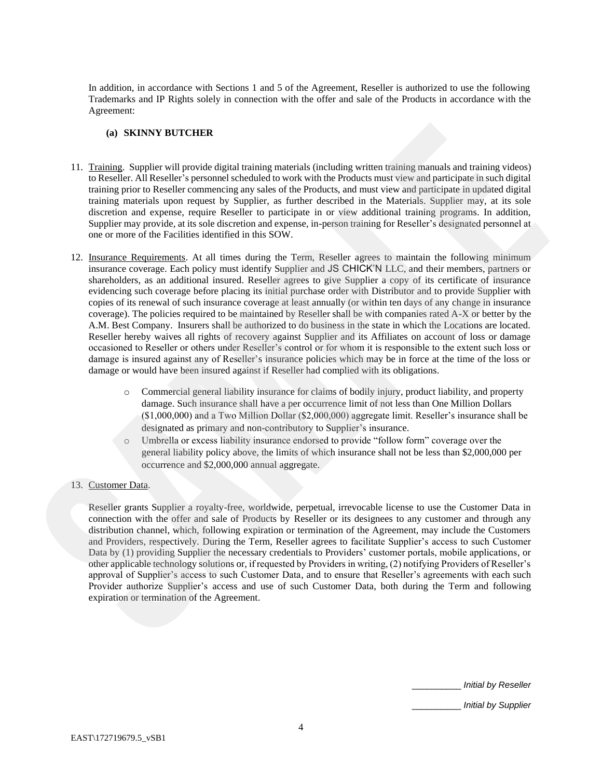In addition, in accordance with Sections 1 and 5 of the Agreement, Reseller is authorized to use the following Trademarks and IP Rights solely in connection with the offer and sale of the Products in accordance with the Agreement:

#### **(a) SKINNY BUTCHER**

- 11. Training. Supplier will provide digital training materials (including written training manuals and training videos) to Reseller. All Reseller's personnel scheduled to work with the Products must view and participate in such digital training prior to Reseller commencing any sales of the Products, and must view and participate in updated digital training materials upon request by Supplier, as further described in the Materials. Supplier may, at its sole discretion and expense, require Reseller to participate in or view additional training programs. In addition, Supplier may provide, at its sole discretion and expense, in-person training for Reseller's designated personnel at one or more of the Facilities identified in this SOW.
- 12. Insurance Requirements. At all times during the Term, Reseller agrees to maintain the following minimum insurance coverage. Each policy must identify Supplier and JS CHICK'N LLC, and their members, partners or shareholders, as an additional insured. Reseller agrees to give Supplier a copy of its certificate of insurance evidencing such coverage before placing its initial purchase order with Distributor and to provide Supplier with copies of its renewal of such insurance coverage at least annually (or within ten days of any change in insurance coverage). The policies required to be maintained by Reseller shall be with companies rated A-X or better by the A.M. Best Company. Insurers shall be authorized to do business in the state in which the Locations are located. Reseller hereby waives all rights of recovery against Supplier and its Affiliates on account of loss or damage occasioned to Reseller or others under Reseller's control or for whom it is responsible to the extent such loss or damage is insured against any of Reseller's insurance policies which may be in force at the time of the loss or damage or would have been insured against if Reseller had complied with its obligations. (a) SKANNY INJTCHER **S**<br>
11. <u>Training</u> Supplier will provide digital training materials (including written oniting manouals and training videos)<br>
11. **Defining All Recollers** presenced enhousded to work with the Product m
	- o Commercial general liability insurance for claims of bodily injury, product liability, and property damage. Such insurance shall have a per occurrence limit of not less than One Million Dollars (\$1,000,000) and a Two Million Dollar (\$2,000,000) aggregate limit. Reseller's insurance shall be designated as primary and non-contributory to Supplier's insurance.
	- o Umbrella or excess liability insurance endorsed to provide "follow form" coverage over the general liability policy above, the limits of which insurance shall not be less than \$2,000,000 per occurrence and \$2,000,000 annual aggregate.

# 13. Customer Data.

Reseller grants Supplier a royalty-free, worldwide, perpetual, irrevocable license to use the Customer Data in connection with the offer and sale of Products by Reseller or its designees to any customer and through any distribution channel, which, following expiration or termination of the Agreement, may include the Customers and Providers, respectively. During the Term, Reseller agrees to facilitate Supplier's access to such Customer Data by (1) providing Supplier the necessary credentials to Providers' customer portals, mobile applications, or other applicable technology solutions or,if requested by Providers in writing, (2) notifying Providers of Reseller's approval of Supplier's access to such Customer Data, and to ensure that Reseller's agreements with each such Provider authorize Supplier's access and use of such Customer Data, both during the Term and following expiration or termination of the Agreement

\_\_\_\_\_\_\_\_\_\_ *Initial by Reseller*

\_\_\_\_\_\_\_\_\_\_ *Initial by Supplier*